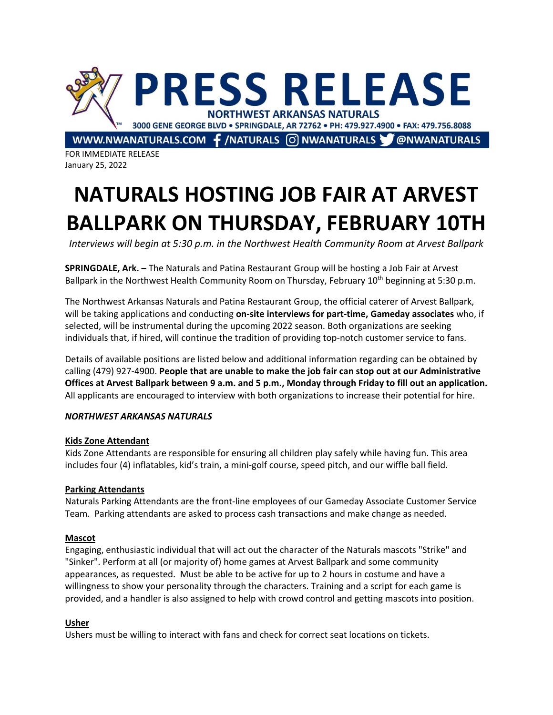

FOR IMMEDIATE RELEASE January 25, 2022

# **NATURALS HOSTING JOB FAIR AT ARVEST BALLPARK ON THURSDAY, FEBRUARY 10TH**

*Interviews will begin at 5:30 p.m. in the Northwest Health Community Room at Arvest Ballpark*

**SPRINGDALE, Ark. –** The Naturals and Patina Restaurant Group will be hosting a Job Fair at Arvest Ballpark in the Northwest Health Community Room on Thursday, February 10<sup>th</sup> beginning at 5:30 p.m.

The Northwest Arkansas Naturals and Patina Restaurant Group, the official caterer of Arvest Ballpark, will be taking applications and conducting **on-site interviews for part-time, Gameday associates** who, if selected, will be instrumental during the upcoming 2022 season. Both organizations are seeking individuals that, if hired, will continue the tradition of providing top-notch customer service to fans.

Details of available positions are listed below and additional information regarding can be obtained by calling (479) 927-4900. **People that are unable to make the job fair can stop out at our Administrative Offices at Arvest Ballpark between 9 a.m. and 5 p.m., Monday through Friday to fill out an application.** All applicants are encouraged to interview with both organizations to increase their potential for hire.

## *NORTHWEST ARKANSAS NATURALS*

## **Kids Zone Attendant**

Kids Zone Attendants are responsible for ensuring all children play safely while having fun. This area includes four (4) inflatables, kid's train, a mini-golf course, speed pitch, and our wiffle ball field.

# **Parking Attendants**

Naturals Parking Attendants are the front-line employees of our Gameday Associate Customer Service Team. Parking attendants are asked to process cash transactions and make change as needed.

## **Mascot**

Engaging, enthusiastic individual that will act out the character of the Naturals mascots "Strike" and "Sinker". Perform at all (or majority of) home games at Arvest Ballpark and some community appearances, as requested. Must be able to be active for up to 2 hours in costume and have a willingness to show your personality through the characters. Training and a script for each game is provided, and a handler is also assigned to help with crowd control and getting mascots into position.

# **Usher**

Ushers must be willing to interact with fans and check for correct seat locations on tickets.